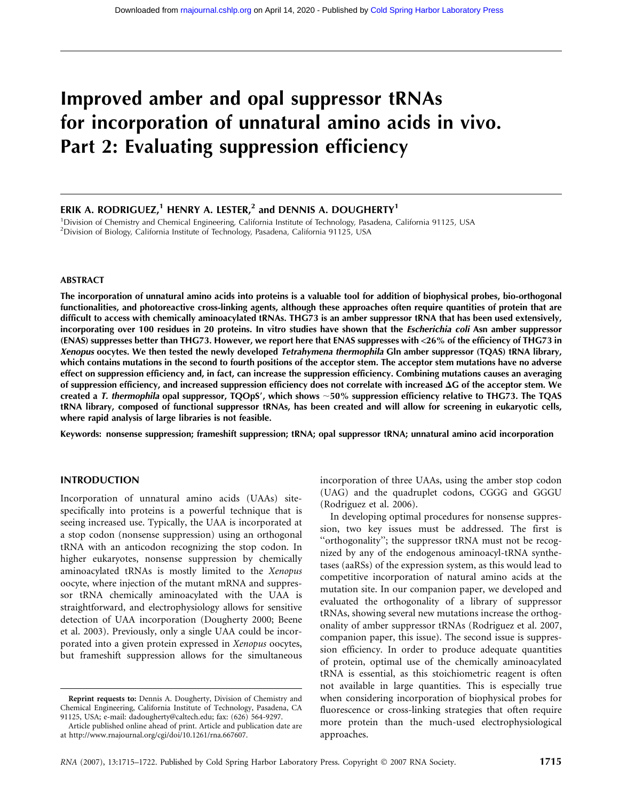# Improved amber and opal suppressor tRNAs for incorporation of unnatural amino acids in vivo. Part 2: Evaluating suppression efficiency

# ERIK A. RODRIGUEZ,<sup>1</sup> HENRY A. LESTER,<sup>2</sup> and DENNIS A. DOUGHERTY<sup>1</sup>

<sup>1</sup>Division of Chemistry and Chemical Engineering, California Institute of Technology, Pasadena, California 91125, USA <sup>2</sup>Division of Biology, California Institute of Technology, Pasadena, California 91125, USA

#### ABSTRACT

The incorporation of unnatural amino acids into proteins is a valuable tool for addition of biophysical probes, bio-orthogonal functionalities, and photoreactive cross-linking agents, although these approaches often require quantities of protein that are difficult to access with chemically aminoacylated tRNAs. THG73 is an amber suppressor tRNA that has been used extensively, incorporating over 100 residues in 20 proteins. In vitro studies have shown that the Escherichia coli Asn amber suppressor (ENAS) suppresses better than THG73. However, we report here that ENAS suppresses with <26% of the efficiency of THG73 in Xenopus oocytes. We then tested the newly developed Tetrahymena thermophila Gln amber suppressor (TQAS) tRNA library, which contains mutations in the second to fourth positions of the acceptor stem. The acceptor stem mutations have no adverse effect on suppression efficiency and, in fact, can increase the suppression efficiency. Combining mutations causes an averaging of suppression efficiency, and increased suppression efficiency does not correlate with increased  $\Delta G$  of the acceptor stem. We created a T. thermophila opal suppressor,  $TQOpS'$ , which shows  $~50\%$  suppression efficiency relative to THG73. The TQAS tRNA library, composed of functional suppressor tRNAs, has been created and will allow for screening in eukaryotic cells, where rapid analysis of large libraries is not feasible.

Keywords: nonsense suppression; frameshift suppression; tRNA; opal suppressor tRNA; unnatural amino acid incorporation

#### INTRODUCTION

Incorporation of unnatural amino acids (UAAs) sitespecifically into proteins is a powerful technique that is seeing increased use. Typically, the UAA is incorporated at a stop codon (nonsense suppression) using an orthogonal tRNA with an anticodon recognizing the stop codon. In higher eukaryotes, nonsense suppression by chemically aminoacylated tRNAs is mostly limited to the Xenopus oocyte, where injection of the mutant mRNA and suppressor tRNA chemically aminoacylated with the UAA is straightforward, and electrophysiology allows for sensitive detection of UAA incorporation (Dougherty 2000; Beene et al. 2003). Previously, only a single UAA could be incorporated into a given protein expressed in Xenopus oocytes, but frameshift suppression allows for the simultaneous incorporation of three UAAs, using the amber stop codon (UAG) and the quadruplet codons, CGGG and GGGU (Rodriguez et al. 2006).

In developing optimal procedures for nonsense suppression, two key issues must be addressed. The first is ''orthogonality''; the suppressor tRNA must not be recognized by any of the endogenous aminoacyl-tRNA synthetases (aaRSs) of the expression system, as this would lead to competitive incorporation of natural amino acids at the mutation site. In our companion paper, we developed and evaluated the orthogonality of a library of suppressor tRNAs, showing several new mutations increase the orthogonality of amber suppressor tRNAs (Rodriguez et al. 2007, companion paper, this issue). The second issue is suppression efficiency. In order to produce adequate quantities of protein, optimal use of the chemically aminoacylated tRNA is essential, as this stoichiometric reagent is often not available in large quantities. This is especially true when considering incorporation of biophysical probes for fluorescence or cross-linking strategies that often require more protein than the much-used electrophysiological approaches.

Reprint requests to: Dennis A. Dougherty, Division of Chemistry and Chemical Engineering, California Institute of Technology, Pasadena, CA 91125, USA; e-mail: dadougherty@caltech.edu; fax: (626) 564-9297.

Article published online ahead of print. Article and publication date are at http://www.rnajournal.org/cgi/doi/10.1261/rna.667607.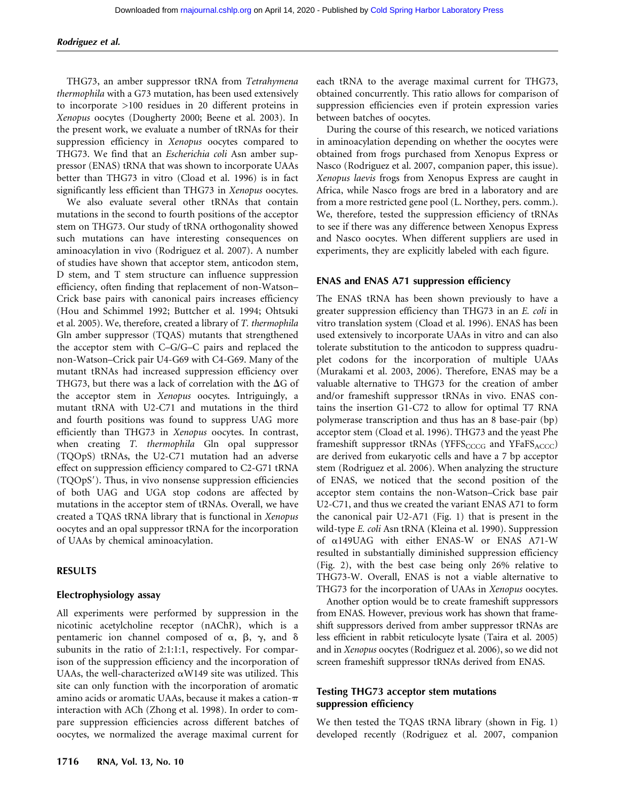#### Rodriguez et al.

THG73, an amber suppressor tRNA from Tetrahymena thermophila with a G73 mutation, has been used extensively to incorporate >100 residues in 20 different proteins in Xenopus oocytes (Dougherty 2000; Beene et al. 2003). In the present work, we evaluate a number of tRNAs for their suppression efficiency in Xenopus oocytes compared to THG73. We find that an Escherichia coli Asn amber suppressor (ENAS) tRNA that was shown to incorporate UAAs better than THG73 in vitro (Cload et al. 1996) is in fact significantly less efficient than THG73 in Xenopus oocytes.

We also evaluate several other tRNAs that contain mutations in the second to fourth positions of the acceptor stem on THG73. Our study of tRNA orthogonality showed such mutations can have interesting consequences on aminoacylation in vivo (Rodriguez et al. 2007). A number of studies have shown that acceptor stem, anticodon stem, D stem, and T stem structure can influence suppression efficiency, often finding that replacement of non-Watson– Crick base pairs with canonical pairs increases efficiency (Hou and Schimmel 1992; Buttcher et al. 1994; Ohtsuki et al. 2005). We, therefore, created a library of T. thermophila Gln amber suppressor (TQAS) mutants that strengthened the acceptor stem with C–G/G–C pairs and replaced the non-Watson–Crick pair U4-G69 with C4-G69. Many of the mutant tRNAs had increased suppression efficiency over THG73, but there was a lack of correlation with the  $\Delta G$  of the acceptor stem in Xenopus oocytes. Intriguingly, a mutant tRNA with U2-C71 and mutations in the third and fourth positions was found to suppress UAG more efficiently than THG73 in Xenopus oocytes. In contrast, when creating T. thermophila Gln opal suppressor (TQOpS) tRNAs, the U2-C71 mutation had an adverse effect on suppression efficiency compared to C2-G71 tRNA  $(TQOpS')$ . Thus, in vivo nonsense suppression efficiencies of both UAG and UGA stop codons are affected by mutations in the acceptor stem of tRNAs. Overall, we have created a TQAS tRNA library that is functional in Xenopus oocytes and an opal suppressor tRNA for the incorporation of UAAs by chemical aminoacylation.

#### RESULTS

#### Electrophysiology assay

All experiments were performed by suppression in the nicotinic acetylcholine receptor (nAChR), which is a pentameric ion channel composed of  $\alpha$ ,  $\beta$ ,  $\gamma$ , and  $\delta$ subunits in the ratio of 2:1:1:1, respectively. For comparison of the suppression efficiency and the incorporation of UAAs, the well-characterized  $\alpha$ W149 site was utilized. This site can only function with the incorporation of aromatic amino acids or aromatic UAAs, because it makes a cation- $\pi$ interaction with ACh (Zhong et al. 1998). In order to compare suppression efficiencies across different batches of oocytes, we normalized the average maximal current for

1716 RNA, Vol. 13, No. 10

each tRNA to the average maximal current for THG73, obtained concurrently. This ratio allows for comparison of suppression efficiencies even if protein expression varies between batches of oocytes.

During the course of this research, we noticed variations in aminoacylation depending on whether the oocytes were obtained from frogs purchased from Xenopus Express or Nasco (Rodriguez et al. 2007, companion paper, this issue). Xenopus laevis frogs from Xenopus Express are caught in Africa, while Nasco frogs are bred in a laboratory and are from a more restricted gene pool (L. Northey, pers. comm.). We, therefore, tested the suppression efficiency of tRNAs to see if there was any difference between Xenopus Express and Nasco oocytes. When different suppliers are used in experiments, they are explicitly labeled with each figure.

#### ENAS and ENAS A71 suppression efficiency

The ENAS tRNA has been shown previously to have a greater suppression efficiency than THG73 in an E. coli in vitro translation system (Cload et al. 1996). ENAS has been used extensively to incorporate UAAs in vitro and can also tolerate substitution to the anticodon to suppress quadruplet codons for the incorporation of multiple UAAs (Murakami et al. 2003, 2006). Therefore, ENAS may be a valuable alternative to THG73 for the creation of amber and/or frameshift suppressor tRNAs in vivo. ENAS contains the insertion G1-C72 to allow for optimal T7 RNA polymerase transcription and thus has an 8 base-pair (bp) acceptor stem (Cload et al. 1996). THG73 and the yeast Phe frameshift suppressor tRNAs (YFFS<sub>CCCG</sub> and YFaFS<sub>ACCC</sub>) are derived from eukaryotic cells and have a 7 bp acceptor stem (Rodriguez et al. 2006). When analyzing the structure of ENAS, we noticed that the second position of the acceptor stem contains the non-Watson–Crick base pair U2-C71, and thus we created the variant ENAS A71 to form the canonical pair U2-A71 (Fig. 1) that is present in the wild-type E. coli Asn tRNA (Kleina et al. 1990). Suppression of a149UAG with either ENAS-W or ENAS A71-W resulted in substantially diminished suppression efficiency (Fig. 2), with the best case being only 26% relative to THG73-W. Overall, ENAS is not a viable alternative to THG73 for the incorporation of UAAs in Xenopus oocytes.

Another option would be to create frameshift suppressors from ENAS. However, previous work has shown that frameshift suppressors derived from amber suppressor tRNAs are less efficient in rabbit reticulocyte lysate (Taira et al. 2005) and in Xenopus oocytes (Rodriguez et al. 2006), so we did not screen frameshift suppressor tRNAs derived from ENAS.

#### Testing THG73 acceptor stem mutations suppression efficiency

We then tested the TQAS tRNA library (shown in Fig. 1) developed recently (Rodriguez et al. 2007, companion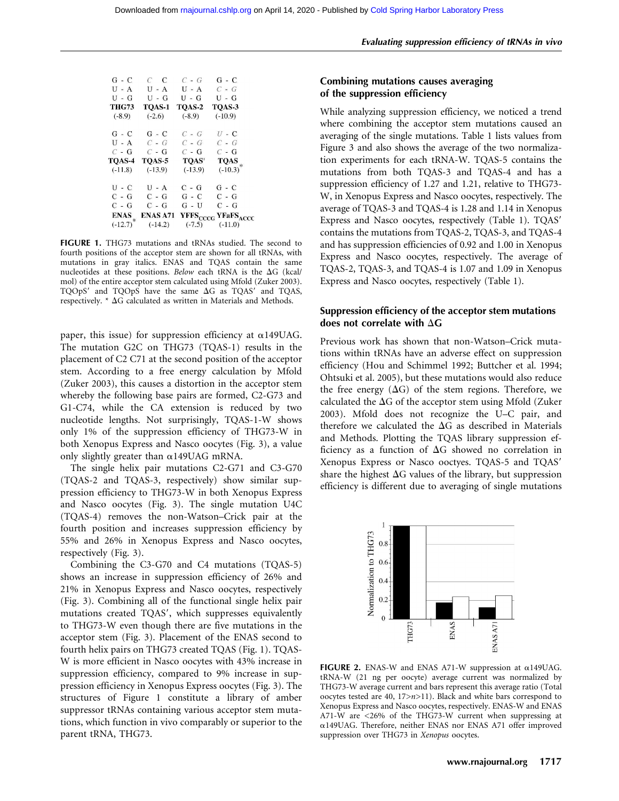| G - C                      | $C$ $C$               | $C - G$   | G - C                                                   |
|----------------------------|-----------------------|-----------|---------------------------------------------------------|
| $U - A$                    | $U - A$               | $U - A$   | $C - G$                                                 |
| $U - G$                    | $U - G$               | U - G     | U - G                                                   |
| THG73                      | TOAS-1                | TQAS-2    | TQAS-3                                                  |
| $(-8.9)$                   | $(-2.6)$              | $(-8.9)$  | $(-10.9)$                                               |
| G - C                      | G - C                 | $C - G$   | $U$ - $C$                                               |
| $U - A$                    | $C - G$               | $C - G$   | $C - G$                                                 |
| $C - G$                    | $C - G$               | $C - G$   | $C - G$                                                 |
| <b>TOAS-4</b>              | TOAS-5                | TQAS'     | <b>TQAS</b>                                             |
| $(-11.8)$                  | $(-13.9)$             | $(-13.9)$ | $(-10.3)^*$                                             |
| U - C                      | $U - A$               | C - G     | $G - C$                                                 |
| C - G                      | $C - G$               | $G - C$   | $C - G$                                                 |
| $C - G$                    | $C - G$               | $G - U$   | $C - G$                                                 |
| <b>ENAS</b><br>$(-12.7)^*$ | ENAS A71<br>$(-14.2)$ | $(-7.5)$  | YFFS <sub>CCCG</sub> YFaFS <sub>ACCC</sub><br>$(-11.0)$ |
|                            |                       |           |                                                         |

FIGURE 1. THG73 mutations and tRNAs studied. The second to fourth positions of the acceptor stem are shown for all tRNAs, with mutations in gray italics. ENAS and TQAS contain the same nucleotides at these positions. Below each tRNA is the  $\Delta G$  (kcal/ mol) of the entire acceptor stem calculated using Mfold (Zuker 2003). TQOpS $'$  and TQOpS have the same  $\Delta G$  as TQAS $'$  and TQAS, respectively.  $*$   $\Delta G$  calculated as written in Materials and Methods.

paper, this issue) for suppression efficiency at  $\alpha$ 149UAG. The mutation G2C on THG73 (TQAS-1) results in the placement of C2 C71 at the second position of the acceptor stem. According to a free energy calculation by Mfold (Zuker 2003), this causes a distortion in the acceptor stem whereby the following base pairs are formed, C2-G73 and G1-C74, while the CA extension is reduced by two nucleotide lengths. Not surprisingly, TQAS-1-W shows only 1% of the suppression efficiency of THG73-W in both Xenopus Express and Nasco oocytes (Fig. 3), a value only slightly greater than  $\alpha$ 149UAG mRNA.

The single helix pair mutations C2-G71 and C3-G70 (TQAS-2 and TQAS-3, respectively) show similar suppression efficiency to THG73-W in both Xenopus Express and Nasco oocytes (Fig. 3). The single mutation U4C (TQAS-4) removes the non-Watson–Crick pair at the fourth position and increases suppression efficiency by 55% and 26% in Xenopus Express and Nasco oocytes, respectively (Fig. 3).

Combining the C3-G70 and C4 mutations (TQAS-5) shows an increase in suppression efficiency of 26% and 21% in Xenopus Express and Nasco oocytes, respectively (Fig. 3). Combining all of the functional single helix pair mutations created TQAS', which suppresses equivalently to THG73-W even though there are five mutations in the acceptor stem (Fig. 3). Placement of the ENAS second to fourth helix pairs on THG73 created TQAS (Fig. 1). TQAS-W is more efficient in Nasco oocytes with 43% increase in suppression efficiency, compared to 9% increase in suppression efficiency in Xenopus Express oocytes (Fig. 3). The structures of Figure 1 constitute a library of amber suppressor tRNAs containing various acceptor stem mutations, which function in vivo comparably or superior to the parent tRNA, THG73.

# Combining mutations causes averaging of the suppression efficiency

While analyzing suppression efficiency, we noticed a trend where combining the acceptor stem mutations caused an averaging of the single mutations. Table 1 lists values from Figure 3 and also shows the average of the two normalization experiments for each tRNA-W. TQAS-5 contains the mutations from both TQAS-3 and TQAS-4 and has a suppression efficiency of 1.27 and 1.21, relative to THG73- W, in Xenopus Express and Nasco oocytes, respectively. The average of TQAS-3 and TQAS-4 is 1.28 and 1.14 in Xenopus Express and Nasco oocytes, respectively (Table 1). TQAS' contains the mutations from TQAS-2, TQAS-3, and TQAS-4 and has suppression efficiencies of 0.92 and 1.00 in Xenopus Express and Nasco oocytes, respectively. The average of TQAS-2, TQAS-3, and TQAS-4 is 1.07 and 1.09 in Xenopus Express and Nasco oocytes, respectively (Table 1).

# Suppression efficiency of the acceptor stem mutations does not correlate with  $\Delta G$

Previous work has shown that non-Watson–Crick mutations within tRNAs have an adverse effect on suppression efficiency (Hou and Schimmel 1992; Buttcher et al. 1994; Ohtsuki et al. 2005), but these mutations would also reduce the free energy  $(\Delta G)$  of the stem regions. Therefore, we calculated the  $\Delta G$  of the acceptor stem using Mfold (Zuker 2003). Mfold does not recognize the U–C pair, and therefore we calculated the  $\Delta G$  as described in Materials and Methods. Plotting the TQAS library suppression efficiency as a function of  $\Delta G$  showed no correlation in Xenopus Express or Nasco ooctyes. TQAS-5 and TQAS' share the highest  $\Delta G$  values of the library, but suppression efficiency is different due to averaging of single mutations



FIGURE 2. ENAS-W and ENAS A71-W suppression at  $\alpha$ 149UAG. tRNA-W (21 ng per oocyte) average current was normalized by THG73-W average current and bars represent this average ratio (Total oocytes tested are 40, 17>n>11). Black and white bars correspond to Xenopus Express and Nasco oocytes, respectively. ENAS-W and ENAS A71-W are <26% of the THG73-W current when suppressing at a149UAG. Therefore, neither ENAS nor ENAS A71 offer improved suppression over THG73 in Xenopus oocytes.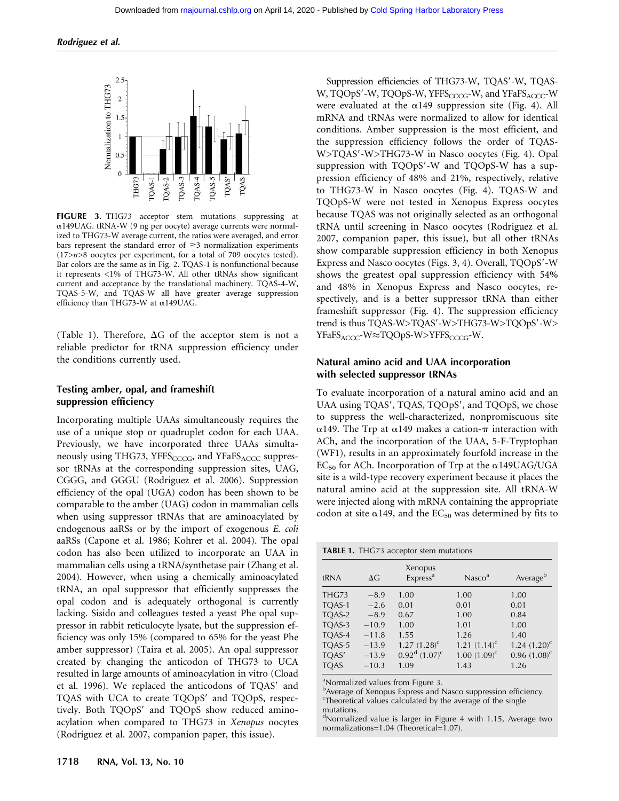

FIGURE 3. THG73 acceptor stem mutations suppressing at a149UAG. tRNA-W (9 ng per oocyte) average currents were normalized to THG73-W average current, the ratios were averaged, and error bars represent the standard error of  $\geq$ 3 normalization experiments (17>n>8 oocytes per experiment, for a total of 709 oocytes tested). Bar colors are the same as in Fig. 2. TQAS-1 is nonfunctional because it represents <1% of THG73-W. All other tRNAs show significant current and acceptance by the translational machinery. TQAS-4-W, TQAS-5-W, and TQAS-W all have greater average suppression efficiency than THG73-W at a149UAG.

(Table 1). Therefore,  $\Delta G$  of the acceptor stem is not a reliable predictor for tRNA suppression efficiency under the conditions currently used.

# Testing amber, opal, and frameshift suppression efficiency

Incorporating multiple UAAs simultaneously requires the use of a unique stop or quadruplet codon for each UAA. Previously, we have incorporated three UAAs simultaneously using THG73, YFFS $_{\text{CCCG}}$ , and YFaFS $_{\text{ACCC}}$  suppressor tRNAs at the corresponding suppression sites, UAG, CGGG, and GGGU (Rodriguez et al. 2006). Suppression efficiency of the opal (UGA) codon has been shown to be comparable to the amber (UAG) codon in mammalian cells when using suppressor tRNAs that are aminoacylated by endogenous aaRSs or by the import of exogenous E. coli aaRSs (Capone et al. 1986; Kohrer et al. 2004). The opal codon has also been utilized to incorporate an UAA in mammalian cells using a tRNA/synthetase pair (Zhang et al. 2004). However, when using a chemically aminoacylated tRNA, an opal suppressor that efficiently suppresses the opal codon and is adequately orthogonal is currently lacking. Sisido and colleagues tested a yeast Phe opal suppressor in rabbit reticulocyte lysate, but the suppression efficiency was only 15% (compared to 65% for the yeast Phe amber suppressor) (Taira et al. 2005). An opal suppressor created by changing the anticodon of THG73 to UCA resulted in large amounts of aminoacylation in vitro (Cload et al. 1996). We replaced the anticodons of TQAS' and TQAS with UCA to create TQOpS' and TQOpS, respectively. Both TQOpS' and TQOpS show reduced aminoacylation when compared to THG73 in Xenopus oocytes (Rodriguez et al. 2007, companion paper, this issue).

Suppression efficiencies of THG73-W, TQAS'-W, TQAS-W, TQOpS'-W, TQOpS-W, YFFS<sub>CCCG</sub>-W, and YFaFS<sub>ACCC</sub>-W were evaluated at the  $\alpha$ 149 suppression site (Fig. 4). All mRNA and tRNAs were normalized to allow for identical conditions. Amber suppression is the most efficient, and the suppression efficiency follows the order of TQAS-W>TQAS'-W>THG73-W in Nasco oocytes (Fig. 4). Opal suppression with TQOpS'-W and TQOpS-W has a suppression efficiency of 48% and 21%, respectively, relative to THG73-W in Nasco oocytes (Fig. 4). TQAS-W and TQOpS-W were not tested in Xenopus Express oocytes because TQAS was not originally selected as an orthogonal tRNA until screening in Nasco oocytes (Rodriguez et al. 2007, companion paper, this issue), but all other tRNAs show comparable suppression efficiency in both Xenopus Express and Nasco oocytes (Figs. 3, 4). Overall,  $TQOpS'$ -W shows the greatest opal suppression efficiency with 54% and 48% in Xenopus Express and Nasco oocytes, respectively, and is a better suppressor tRNA than either frameshift suppressor (Fig. 4). The suppression efficiency trend is thus TQAS-W>TQAS'-W>THG73-W>TQOpS'-W> YFaFS<sub>ACCC</sub>-W≈TQOpS-W>YFFS<sub>CCCG</sub>-W.

# Natural amino acid and UAA incorporation with selected suppressor tRNAs

To evaluate incorporation of a natural amino acid and an UAA using TQAS', TQAS, TQOpS', and TQOpS, we chose to suppress the well-characterized, nonpromiscuous site  $\alpha$ 149. The Trp at  $\alpha$ 149 makes a cation- $\pi$  interaction with ACh, and the incorporation of the UAA, 5-F-Tryptophan (WF1), results in an approximately fourfold increase in the  $EC_{50}$  for ACh. Incorporation of Trp at the  $\alpha$ 149UAG/UGA site is a wild-type recovery experiment because it places the natural amino acid at the suppression site. All tRNA-W were injected along with mRNA containing the appropriate codon at site  $\alpha$ 149, and the EC<sub>50</sub> was determined by fits to

TABLE 1. THG73 acceptor stem mutations

| tRNA        | $\Delta G$ | Xenopus<br>Express <sup>a</sup>    | Nasco <sup>a</sup> | Averageb          |
|-------------|------------|------------------------------------|--------------------|-------------------|
| THG73       | $-8.9$     | 1.00                               | 1.00               | 1.00              |
| TQAS-1      | $-2.6$     | 0.01                               | 0.01               | 0.01              |
| TOAS-2      | $-8.9$     | 0.67                               | 1.00               | 0.84              |
| TOAS-3      | $-10.9$    | 1.00                               | 1.01               | 1.00              |
| TOAS-4      | $-11.8$    | 1.55                               | 1.26               | 1.40              |
| TQAS-5      | $-13.9$    | $1.27 (1.28)^c$                    | $1.21 (1.14)^c$    | $1.24$ $(1.20)^c$ |
| TQAS'       | $-13.9$    | $0.92^{\rm d}$ (1.07) <sup>c</sup> | $1.00(1.09)^c$     | $0.96$ $(1.08)^c$ |
| <b>TQAS</b> | $-10.3$    | 1.09                               | 1.43               | 1.26              |

a Normalized values from Figure 3.

<sup>b</sup>Average of Xenopus Express and Nasco suppression efficiency. <sup>c</sup>Theoretical values calculated by the average of the single mutations.

<sup>d</sup>Normalized value is larger in Figure 4 with 1.15, Average two normalizations=1.04 (Theoretical=1.07).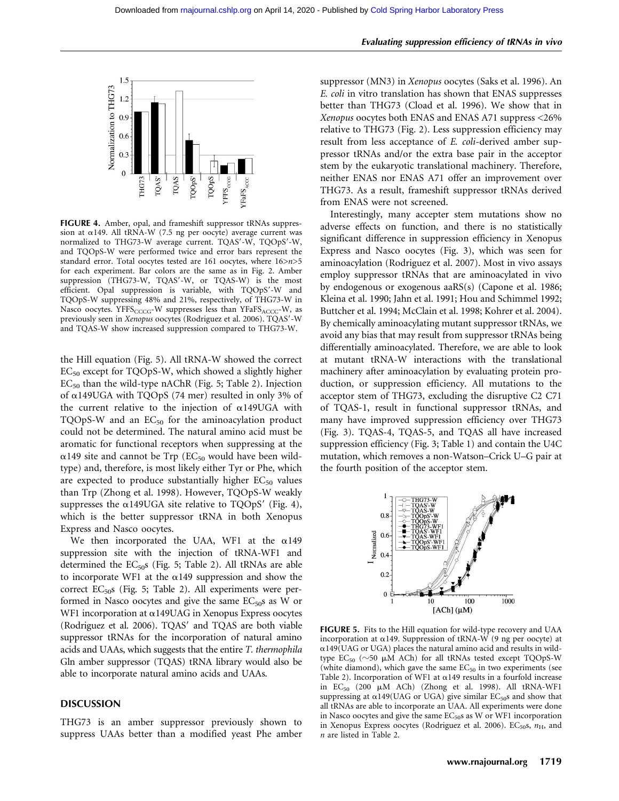#### Evaluating suppression efficiency of tRNAs in vivo



FIGURE 4. Amber, opal, and frameshift suppressor tRNAs suppression at  $\alpha$ 149. All tRNA-W (7.5 ng per oocyte) average current was normalized to THG73-W average current. TQAS'-W, TQOpS'-W, and TQOpS-W were performed twice and error bars represent the standard error. Total oocytes tested are 161 oocytes, where 16>n>5 for each experiment. Bar colors are the same as in Fig. 2. Amber suppression (THG73-W, TQAS'-W, or TQAS-W) is the most efficient. Opal suppression is variable, with TQOpS'-W and TQOpS-W suppressing 48% and 21%, respectively, of THG73-W in Nasco oocytes. YFFS $_{CCCG}$ -W suppresses less than YFaFS $_{ACC}$ -W, as previously seen in Xenopus oocytes (Rodriguez et al. 2006). TQAS'-W and TQAS-W show increased suppression compared to THG73-W.

the Hill equation (Fig. 5). All tRNA-W showed the correct EC<sub>50</sub> except for TQOpS-W, which showed a slightly higher  $EC_{50}$  than the wild-type nAChR (Fig. 5; Table 2). Injection of  $\alpha$ 149UGA with TQOpS (74 mer) resulted in only 3% of the current relative to the injection of  $\alpha$ 149UGA with TQOpS-W and an  $EC_{50}$  for the aminoacylation product could not be determined. The natural amino acid must be aromatic for functional receptors when suppressing at the  $\alpha$ 149 site and cannot be Trp (EC<sub>50</sub> would have been wildtype) and, therefore, is most likely either Tyr or Phe, which are expected to produce substantially higher  $EC_{50}$  values than Trp (Zhong et al. 1998). However, TQOpS-W weakly suppresses the  $\alpha$ 149UGA site relative to TQOpS' (Fig. 4), which is the better suppressor tRNA in both Xenopus Express and Nasco oocytes.

We then incorporated the UAA, WF1 at the  $\alpha$ 149 suppression site with the injection of tRNA-WF1 and determined the  $EC_{50}$ s (Fig. 5; Table 2). All tRNAs are able to incorporate WF1 at the  $\alpha$ 149 suppression and show the correct  $EC_{50}$ s (Fig. 5; Table 2). All experiments were performed in Nasco oocytes and give the same  $EC_{50}$ s as W or WF1 incorporation at  $\alpha$ 149UAG in Xenopus Express oocytes (Rodriguez et al. 2006). TQAS' and TQAS are both viable suppressor tRNAs for the incorporation of natural amino acids and UAAs, which suggests that the entire T. thermophila Gln amber suppressor (TQAS) tRNA library would also be able to incorporate natural amino acids and UAAs.

#### DISCUSSION

THG73 is an amber suppressor previously shown to suppress UAAs better than a modified yeast Phe amber suppressor (MN3) in Xenopus oocytes (Saks et al. 1996). An E. coli in vitro translation has shown that ENAS suppresses better than THG73 (Cload et al. 1996). We show that in Xenopus oocytes both ENAS and ENAS A71 suppress <26% relative to THG73 (Fig. 2). Less suppression efficiency may result from less acceptance of E. coli-derived amber suppressor tRNAs and/or the extra base pair in the acceptor stem by the eukaryotic translational machinery. Therefore, neither ENAS nor ENAS A71 offer an improvement over THG73. As a result, frameshift suppressor tRNAs derived from ENAS were not screened.

Interestingly, many accepter stem mutations show no adverse effects on function, and there is no statistically significant difference in suppression efficiency in Xenopus Express and Nasco oocytes (Fig. 3), which was seen for aminoacylation (Rodriguez et al. 2007). Most in vivo assays employ suppressor tRNAs that are aminoacylated in vivo by endogenous or exogenous aaRS(s) (Capone et al. 1986; Kleina et al. 1990; Jahn et al. 1991; Hou and Schimmel 1992; Buttcher et al. 1994; McClain et al. 1998; Kohrer et al. 2004). By chemically aminoacylating mutant suppressor tRNAs, we avoid any bias that may result from suppressor tRNAs being differentially aminoacylated. Therefore, we are able to look at mutant tRNA-W interactions with the translational machinery after aminoacylation by evaluating protein production, or suppression efficiency. All mutations to the acceptor stem of THG73, excluding the disruptive C2 C71 of TQAS-1, result in functional suppressor tRNAs, and many have improved suppression efficiency over THG73 (Fig. 3). TQAS-4, TQAS-5, and TQAS all have increased suppression efficiency (Fig. 3; Table 1) and contain the U4C mutation, which removes a non-Watson–Crick U–G pair at the fourth position of the acceptor stem.



FIGURE 5. Fits to the Hill equation for wild-type recovery and UAA incorporation at  $\alpha$ 149. Suppression of tRNA-W (9 ng per oocyte) at  $\alpha$ 149(UAG or UGA) places the natural amino acid and results in wildtype  $EC_{50}$  ( $\sim$ 50  $\mu$ M ACh) for all tRNAs tested except TQOpS-W (white diamond), which gave the same  $EC_{50}$  in two experiments (see Table 2). Incorporation of WF1 at  $\alpha$ 149 results in a fourfold increase in  $EC_{50}$  (200  $\mu$ M ACh) (Zhong et al. 1998). All tRNA-WF1 suppressing at  $\alpha$ 149(UAG or UGA) give similar EC<sub>50</sub>s and show that all tRNAs are able to incorporate an UAA. All experiments were done in Nasco oocytes and give the same  $EC_{50}$ s as W or WF1 incorporation in Xenopus Express oocytes (Rodriguez et al. 2006). EC<sub>50</sub>s,  $n_{\rm H}$ , and n are listed in Table 2.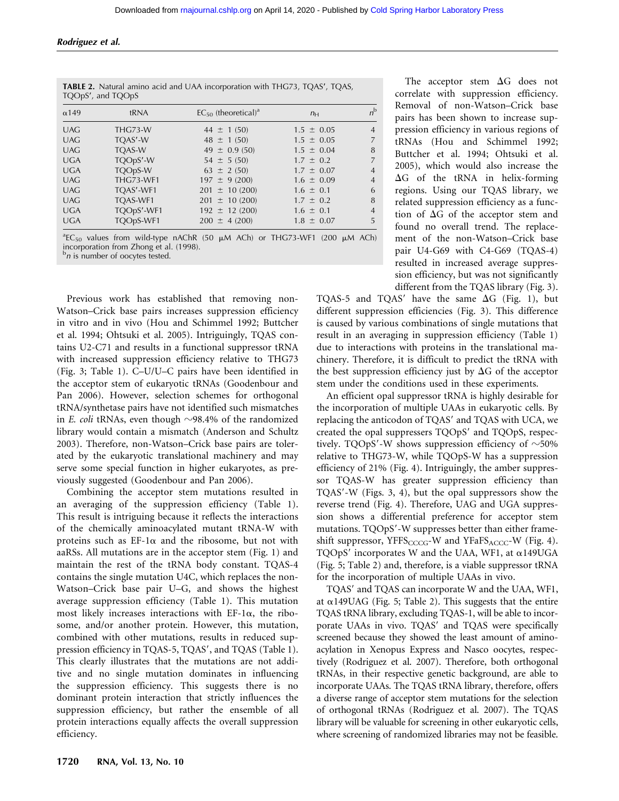| TQOpS', and TQOpS |                  |                                      |                |                |
|-------------------|------------------|--------------------------------------|----------------|----------------|
| $\alpha$ 149      | tRNA             | $EC_{50}$ (theoretical) <sup>a</sup> | $n_{\rm H}$    | $n^{\rm b}$    |
| <b>UAG</b>        | THG73-W          | $44 \pm 1(50)$                       | $1.5 \pm 0.05$ | $\overline{4}$ |
| <b>UAG</b>        | TOAS'-W          | $48 \pm 1(50)$                       | $1.5 \pm 0.05$ | 7              |
| <b>UAG</b>        | <b>TOAS-W</b>    | $49 \pm 0.9(50)$                     | $1.5 \pm 0.04$ | 8              |
| <b>UGA</b>        | TQOpS'-W         | $54 \pm 5(50)$                       | $1.7 \pm 0.2$  | $\overline{7}$ |
| <b>UGA</b>        | TQOpS-W          | $63 \pm 2 (50)$                      | $1.7 \pm 0.07$ | $\overline{4}$ |
| <b>UAG</b>        | <b>THG73-WF1</b> | $197 \pm 9(200)$                     | $1.6 \pm 0.09$ | $\overline{4}$ |
| <b>UAG</b>        | TQAS'-WF1        | $201 \pm 10(200)$                    | $1.6 \pm 0.1$  | 6              |
| <b>UAG</b>        | TOAS-WF1         | $201 \pm 10(200)$                    | $1.7 \pm 0.2$  | 8              |
| <b>UGA</b>        | TQOpS'-WF1       | $192 \pm 12(200)$                    | $1.6 \pm 0.1$  | $\overline{4}$ |
| <b>UGA</b>        | TQOpS-WF1        | $200 \pm 4(200)$                     | $1.8 \pm 0.07$ | 5              |
|                   |                  |                                      |                |                |

**TABLE 2.** Natural amino acid and UAA incorporation with THG73, TOAS', TOAS,

 ${}^{\text{a}}$ EC<sub>50</sub> values from wild-type nAChR (50  $\mu$ M ACh) or THG73-WF1 (200  $\mu$ M ACh) incorporation from Zhong et al. (1998).<br><sup>b</sup>*n* is number of oocytes tested.

Previous work has established that removing non-Watson–Crick base pairs increases suppression efficiency in vitro and in vivo (Hou and Schimmel 1992; Buttcher et al. 1994; Ohtsuki et al. 2005). Intriguingly, TQAS contains U2-C71 and results in a functional suppressor tRNA with increased suppression efficiency relative to THG73 (Fig. 3; Table 1). C–U/U–C pairs have been identified in the acceptor stem of eukaryotic tRNAs (Goodenbour and Pan 2006). However, selection schemes for orthogonal tRNA/synthetase pairs have not identified such mismatches in E. coli tRNAs, even though  $\sim$ 98.4% of the randomized library would contain a mismatch (Anderson and Schultz 2003). Therefore, non-Watson–Crick base pairs are tolerated by the eukaryotic translational machinery and may serve some special function in higher eukaryotes, as previously suggested (Goodenbour and Pan 2006).

Combining the acceptor stem mutations resulted in an averaging of the suppression efficiency (Table 1). This result is intriguing because it reflects the interactions of the chemically aminoacylated mutant tRNA-W with proteins such as  $EF-1\alpha$  and the ribosome, but not with aaRSs. All mutations are in the acceptor stem (Fig. 1) and maintain the rest of the tRNA body constant. TQAS-4 contains the single mutation U4C, which replaces the non-Watson–Crick base pair U–G, and shows the highest average suppression efficiency (Table 1). This mutation most likely increases interactions with  $EF-1\alpha$ , the ribosome, and/or another protein. However, this mutation, combined with other mutations, results in reduced suppression efficiency in TQAS-5, TQAS', and TQAS (Table 1). This clearly illustrates that the mutations are not additive and no single mutation dominates in influencing the suppression efficiency. This suggests there is no dominant protein interaction that strictly influences the suppression efficiency, but rather the ensemble of all protein interactions equally affects the overall suppression efficiency.

The acceptor stem  $\Delta G$  does not correlate with suppression efficiency. Removal of non-Watson–Crick base pairs has been shown to increase suppression efficiency in various regions of tRNAs (Hou and Schimmel 1992; Buttcher et al. 1994; Ohtsuki et al. 2005), which would also increase the  $\Delta G$  of the tRNA in helix-forming regions. Using our TQAS library, we related suppression efficiency as a function of  $\Delta G$  of the acceptor stem and found no overall trend. The replacement of the non-Watson–Crick base pair U4-G69 with C4-G69 (TQAS-4) resulted in increased average suppression efficiency, but was not significantly different from the TQAS library (Fig. 3).

TQAS-5 and TQAS' have the same  $\Delta G$  (Fig. 1), but different suppression efficiencies (Fig. 3). This difference is caused by various combinations of single mutations that result in an averaging in suppression efficiency (Table 1) due to interactions with proteins in the translational machinery. Therefore, it is difficult to predict the tRNA with the best suppression efficiency just by  $\Delta G$  of the acceptor stem under the conditions used in these experiments.

An efficient opal suppressor tRNA is highly desirable for the incorporation of multiple UAAs in eukaryotic cells. By replacing the anticodon of TQAS' and TQAS with UCA, we created the opal suppressers  $TQOpS'$  and  $TQOpS$ , respectively. TQOpS'-W shows suppression efficiency of  $\sim$ 50% relative to THG73-W, while TQOpS-W has a suppression efficiency of 21% (Fig. 4). Intriguingly, the amber suppressor TQAS-W has greater suppression efficiency than TQAS'-W (Figs. 3, 4), but the opal suppressors show the reverse trend (Fig. 4). Therefore, UAG and UGA suppression shows a differential preference for acceptor stem mutations. TQOpS'-W suppresses better than either frameshift suppressor,  $YFFS_{CCCG}$ -W and  $YFaFS_{ACC}$ -W (Fig. 4). TQOpS' incorporates W and the UAA, WF1, at  $\alpha$ 149UGA (Fig. 5; Table 2) and, therefore, is a viable suppressor tRNA for the incorporation of multiple UAAs in vivo.

TQAS' and TQAS can incorporate W and the UAA, WF1, at  $\alpha$ 149UAG (Fig. 5; Table 2). This suggests that the entire TQAS tRNA library, excluding TQAS-1, will be able to incorporate UAAs in vivo. TQAS' and TQAS were specifically screened because they showed the least amount of aminoacylation in Xenopus Express and Nasco oocytes, respectively (Rodriguez et al. 2007). Therefore, both orthogonal tRNAs, in their respective genetic background, are able to incorporate UAAs. The TQAS tRNA library, therefore, offers a diverse range of acceptor stem mutations for the selection of orthogonal tRNAs (Rodriguez et al. 2007). The TQAS library will be valuable for screening in other eukaryotic cells, where screening of randomized libraries may not be feasible.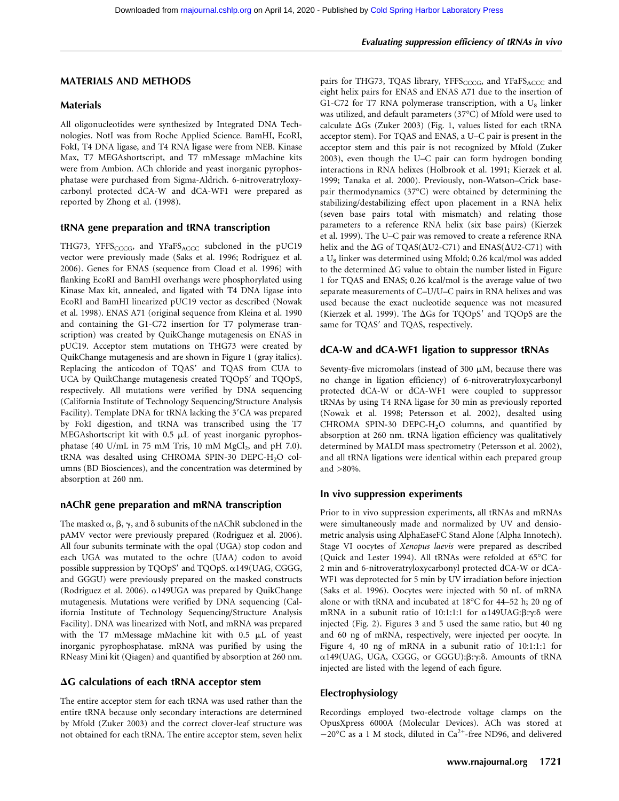# Evaluating suppression efficiency of tRNAs in vivo

#### MATERIALS AND METHODS

#### **Materials**

All oligonucleotides were synthesized by Integrated DNA Technologies. NotI was from Roche Applied Science. BamHI, EcoRI, FokI, T4 DNA ligase, and T4 RNA ligase were from NEB. Kinase Max, T7 MEGAshortscript, and T7 mMessage mMachine kits were from Ambion. ACh chloride and yeast inorganic pyrophosphatase were purchased from Sigma-Aldrich. 6-nitroveratryloxycarbonyl protected dCA-W and dCA-WF1 were prepared as reported by Zhong et al. (1998).

# tRNA gene preparation and tRNA transcription

THG73, YFFS<sub>CCCG</sub>, and YFaFS<sub>ACCC</sub> subcloned in the pUC19 vector were previously made (Saks et al. 1996; Rodriguez et al. 2006). Genes for ENAS (sequence from Cload et al. 1996) with flanking EcoRI and BamHI overhangs were phosphorylated using Kinase Max kit, annealed, and ligated with T4 DNA ligase into EcoRI and BamHI linearized pUC19 vector as described (Nowak et al. 1998). ENAS A71 (original sequence from Kleina et al. 1990 and containing the G1-C72 insertion for T7 polymerase transcription) was created by QuikChange mutagenesis on ENAS in pUC19. Acceptor stem mutations on THG73 were created by QuikChange mutagenesis and are shown in Figure 1 (gray italics). Replacing the anticodon of TQAS' and TQAS from CUA to UCA by QuikChange mutagenesis created TQOpS' and TQOpS, respectively. All mutations were verified by DNA sequencing (California Institute of Technology Sequencing/Structure Analysis Facility). Template DNA for tRNA lacking the 3'CA was prepared by FokI digestion, and tRNA was transcribed using the T7 MEGAshortscript kit with  $0.5$   $\mu$ L of yeast inorganic pyrophosphatase (40 U/mL in 75 mM Tris, 10 mM  $MgCl<sub>2</sub>$ , and pH 7.0). tRNA was desalted using CHROMA SPIN-30 DEPC-H<sub>2</sub>O columns (BD Biosciences), and the concentration was determined by absorption at 260 nm.

# nAChR gene preparation and mRNA transcription

The masked  $\alpha$ ,  $\beta$ ,  $\gamma$ , and  $\delta$  subunits of the nAChR subcloned in the pAMV vector were previously prepared (Rodriguez et al. 2006). All four subunits terminate with the opal (UGA) stop codon and each UGA was mutated to the ochre (UAA) codon to avoid possible suppression by TQOpS' and TQOpS.  $\alpha$ 149(UAG, CGGG, and GGGU) were previously prepared on the masked constructs (Rodriguez et al. 2006).  $\alpha$ 149UGA was prepared by QuikChange mutagenesis. Mutations were verified by DNA sequencing (California Institute of Technology Sequencing/Structure Analysis Facility). DNA was linearized with NotI, and mRNA was prepared with the T7 mMessage mMachine kit with  $0.5$   $\mu$ L of yeast inorganic pyrophosphatase. mRNA was purified by using the RNeasy Mini kit (Qiagen) and quantified by absorption at 260 nm.

#### $\Delta G$  calculations of each tRNA acceptor stem

The entire acceptor stem for each tRNA was used rather than the entire tRNA because only secondary interactions are determined by Mfold (Zuker 2003) and the correct clover-leaf structure was not obtained for each tRNA. The entire acceptor stem, seven helix pairs for THG73, TQAS library, YFFS<sub>CCCG</sub>, and YFaFS<sub>ACCC</sub> and eight helix pairs for ENAS and ENAS A71 due to the insertion of G1-C72 for T7 RNA polymerase transcription, with a  $U_8$  linker was utilized, and default parameters (37°C) of Mfold were used to calculate  $\Delta Gs$  (Zuker 2003) (Fig. 1, values listed for each tRNA acceptor stem). For TQAS and ENAS, a U–C pair is present in the acceptor stem and this pair is not recognized by Mfold (Zuker 2003), even though the U–C pair can form hydrogen bonding interactions in RNA helixes (Holbrook et al. 1991; Kierzek et al. 1999; Tanaka et al. 2000). Previously, non-Watson–Crick basepair thermodynamics (37°C) were obtained by determining the stabilizing/destabilizing effect upon placement in a RNA helix (seven base pairs total with mismatch) and relating those parameters to a reference RNA helix (six base pairs) (Kierzek et al. 1999). The U–C pair was removed to create a reference RNA helix and the  $\Delta G$  of TQAS( $\Delta U2$ -C71) and ENAS( $\Delta U2$ -C71) with a U<sub>8</sub> linker was determined using Mfold; 0.26 kcal/mol was added to the determined  $\Delta G$  value to obtain the number listed in Figure 1 for TQAS and ENAS; 0.26 kcal/mol is the average value of two separate measurements of C–U/U–C pairs in RNA helixes and was used because the exact nucleotide sequence was not measured (Kierzek et al. 1999). The  $\Delta Gs$  for TQOpS' and TQOpS are the same for TQAS' and TQAS, respectively.

# dCA-W and dCA-WF1 ligation to suppressor tRNAs

Seventy-five micromolars (instead of  $300 \mu M$ , because there was no change in ligation efficiency) of 6-nitroveratryloxycarbonyl protected dCA-W or dCA-WF1 were coupled to suppressor tRNAs by using T4 RNA ligase for 30 min as previously reported (Nowak et al. 1998; Petersson et al. 2002), desalted using CHROMA SPIN-30 DEPC-H<sub>2</sub>O columns, and quantified by absorption at 260 nm. tRNA ligation efficiency was qualitatively determined by MALDI mass spectrometry (Petersson et al. 2002), and all tRNA ligations were identical within each prepared group and >80%.

#### In vivo suppression experiments

Prior to in vivo suppression experiments, all tRNAs and mRNAs were simultaneously made and normalized by UV and densiometric analysis using AlphaEaseFC Stand Alone (Alpha Innotech). Stage VI oocytes of Xenopus laevis were prepared as described (Quick and Lester 1994). All tRNAs were refolded at 65°C for 2 min and 6-nitroveratryloxycarbonyl protected dCA-W or dCA-WF1 was deprotected for 5 min by UV irradiation before injection (Saks et al. 1996). Oocytes were injected with 50 nL of mRNA alone or with tRNA and incubated at 18°C for 44–52 h; 20 ng of mRNA in a subunit ratio of 10:1:1:1 for  $\alpha$ 149UAG: $\beta$ : $\gamma$ : $\delta$  were injected (Fig. 2). Figures 3 and 5 used the same ratio, but 40 ng and 60 ng of mRNA, respectively, were injected per oocyte. In Figure 4, 40 ng of mRNA in a subunit ratio of 10:1:1:1 for  $\alpha$ 149(UAG, UGA, CGGG, or GGGU): $\beta$ : $\gamma$ : $\delta$ . Amounts of tRNA injected are listed with the legend of each figure.

#### Electrophysiology

Recordings employed two-electrode voltage clamps on the OpusXpress 6000A (Molecular Devices). ACh was stored at  $-20^{\circ}$ C as a 1 M stock, diluted in Ca<sup>2+</sup>-free ND96, and delivered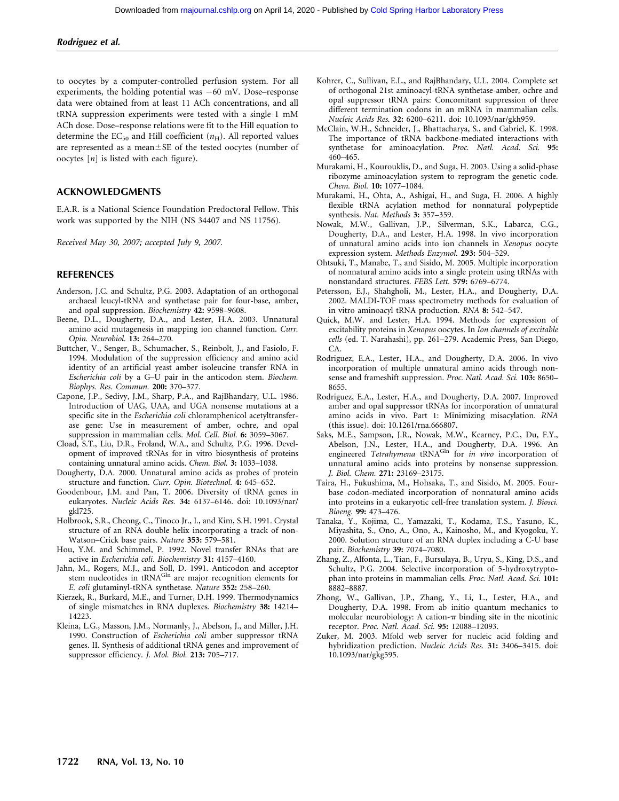to oocytes by a computer-controlled perfusion system. For all experiments, the holding potential was  $-60$  mV. Dose–response data were obtained from at least 11 ACh concentrations, and all tRNA suppression experiments were tested with a single 1 mM ACh dose. Dose–response relations were fit to the Hill equation to determine the  $EC_{50}$  and Hill coefficient ( $n_{\rm H}$ ). All reported values are represented as a mean $\pm$ SE of the tested oocytes (number of oocytes  $[n]$  is listed with each figure).

#### ACKNOWLEDGMENTS

E.A.R. is a National Science Foundation Predoctoral Fellow. This work was supported by the NIH (NS 34407 and NS 11756).

Received May 30, 2007; accepted July 9, 2007.

#### REFERENCES

- Anderson, J.C. and Schultz, P.G. 2003. Adaptation of an orthogonal archaeal leucyl-tRNA and synthetase pair for four-base, amber, and opal suppression. Biochemistry 42: 9598–9608.
- Beene, D.L., Dougherty, D.A., and Lester, H.A. 2003. Unnatural amino acid mutagenesis in mapping ion channel function. Curr. Opin. Neurobiol. 13: 264–270.
- Buttcher, V., Senger, B., Schumacher, S., Reinbolt, J., and Fasiolo, F. 1994. Modulation of the suppression efficiency and amino acid identity of an artificial yeast amber isoleucine transfer RNA in Escherichia coli by a G–U pair in the anticodon stem. Biochem. Biophys. Res. Commun. 200: 370–377.
- Capone, J.P., Sedivy, J.M., Sharp, P.A., and RajBhandary, U.L. 1986. Introduction of UAG, UAA, and UGA nonsense mutations at a specific site in the Escherichia coli chloramphenicol acetyltransferase gene: Use in measurement of amber, ochre, and opal suppression in mammalian cells. Mol. Cell. Biol. 6: 3059–3067.
- Cload, S.T., Liu, D.R., Froland, W.A., and Schultz, P.G. 1996. Development of improved tRNAs for in vitro biosynthesis of proteins containing unnatural amino acids. Chem. Biol. 3: 1033–1038.
- Dougherty, D.A. 2000. Unnatural amino acids as probes of protein structure and function. Curr. Opin. Biotechnol. 4: 645–652.
- Goodenbour, J.M. and Pan, T. 2006. Diversity of tRNA genes in eukaryotes. Nucleic Acids Res. 34: 6137–6146. doi: 10.1093/nar/ gkl725.
- Holbrook, S.R., Cheong, C., Tinoco Jr., I., and Kim, S.H. 1991. Crystal structure of an RNA double helix incorporating a track of non-Watson–Crick base pairs. Nature 353: 579–581.
- Hou, Y.M. and Schimmel, P. 1992. Novel transfer RNAs that are active in Escherichia coli. Biochemistry 31: 4157–4160.
- Jahn, M., Rogers, M.J., and Soll, D. 1991. Anticodon and acceptor stem nucleotides in tRNA<sup>Gln</sup> are major recognition elements for E. coli glutaminyl-tRNA synthetase. Nature 352: 258–260.
- Kierzek, R., Burkard, M.E., and Turner, D.H. 1999. Thermodynamics of single mismatches in RNA duplexes. Biochemistry 38: 14214– 14223.
- Kleina, L.G., Masson, J.M., Normanly, J., Abelson, J., and Miller, J.H. 1990. Construction of Escherichia coli amber suppressor tRNA genes. II. Synthesis of additional tRNA genes and improvement of suppressor efficiency. J. Mol. Biol. 213: 705-717.
- Kohrer, C., Sullivan, E.L., and RajBhandary, U.L. 2004. Complete set of orthogonal 21st aminoacyl-tRNA synthetase-amber, ochre and opal suppressor tRNA pairs: Concomitant suppression of three different termination codons in an mRNA in mammalian cells. Nucleic Acids Res. 32: 6200–6211. doi: 10.1093/nar/gkh959.
- McClain, W.H., Schneider, J., Bhattacharya, S., and Gabriel, K. 1998. The importance of tRNA backbone-mediated interactions with synthetase for aminoacylation. Proc. Natl. Acad. Sci. 95: 460–465.
- Murakami, H., Kourouklis, D., and Suga, H. 2003. Using a solid-phase ribozyme aminoacylation system to reprogram the genetic code. Chem. Biol. 10: 1077–1084.
- Murakami, H., Ohta, A., Ashigai, H., and Suga, H. 2006. A highly flexible tRNA acylation method for nonnatural polypeptide synthesis. Nat. Methods 3: 357–359.
- Nowak, M.W., Gallivan, J.P., Silverman, S.K., Labarca, C.G., Dougherty, D.A., and Lester, H.A. 1998. In vivo incorporation of unnatural amino acids into ion channels in Xenopus oocyte expression system. Methods Enzymol. 293: 504–529.
- Ohtsuki, T., Manabe, T., and Sisido, M. 2005. Multiple incorporation of nonnatural amino acids into a single protein using tRNAs with nonstandard structures. FEBS Lett. 579: 6769–6774.
- Petersson, E.J., Shahgholi, M., Lester, H.A., and Dougherty, D.A. 2002. MALDI-TOF mass spectrometry methods for evaluation of in vitro aminoacyl tRNA production. RNA 8: 542–547.
- Quick, M.W. and Lester, H.A. 1994. Methods for expression of excitability proteins in Xenopus oocytes. In Ion channels of excitable cells (ed. T. Narahashi), pp. 261–279. Academic Press, San Diego, CA.
- Rodriguez, E.A., Lester, H.A., and Dougherty, D.A. 2006. In vivo incorporation of multiple unnatural amino acids through nonsense and frameshift suppression. Proc. Natl. Acad. Sci. 103: 8650-8655.
- Rodriguez, E.A., Lester, H.A., and Dougherty, D.A. 2007. Improved amber and opal suppressor tRNAs for incorporation of unnatural amino acids in vivo. Part 1: Minimizing misacylation. RNA (this issue). doi: 10.1261/rna.666807.
- Saks, M.E., Sampson, J.R., Nowak, M.W., Kearney, P.C., Du, F.Y., Abelson, J.N., Lester, H.A., and Dougherty, D.A. 1996. An<br>engineered *Tetrahymena* tRNA<sup>Gln</sup> for *in vivo* incorporation of unnatural amino acids into proteins by nonsense suppression. J. Biol. Chem. 271: 23169–23175.
- Taira, H., Fukushima, M., Hohsaka, T., and Sisido, M. 2005. Fourbase codon-mediated incorporation of nonnatural amino acids into proteins in a eukaryotic cell-free translation system. J. Biosci. Bioeng. 99: 473–476.
- Tanaka, Y., Kojima, C., Yamazaki, T., Kodama, T.S., Yasuno, K., Miyashita, S., Ono, A., Ono, A., Kainosho, M., and Kyogoku, Y. 2000. Solution structure of an RNA duplex including a C-U base pair. Biochemistry 39: 7074–7080.
- Zhang, Z., Alfonta, L., Tian, F., Bursulaya, B., Uryu, S., King, D.S., and Schultz, P.G. 2004. Selective incorporation of 5-hydroxytryptophan into proteins in mammalian cells. Proc. Natl. Acad. Sci. 101: 8882–8887.
- Zhong, W., Gallivan, J.P., Zhang, Y., Li, L., Lester, H.A., and Dougherty, D.A. 1998. From ab initio quantum mechanics to molecular neurobiology: A cation- $\pi$  binding site in the nicotinic receptor. Proc. Natl. Acad. Sci. 95: 12088–12093.
- Zuker, M. 2003. Mfold web server for nucleic acid folding and hybridization prediction. Nucleic Acids Res. 31: 3406–3415. doi: 10.1093/nar/gkg595.